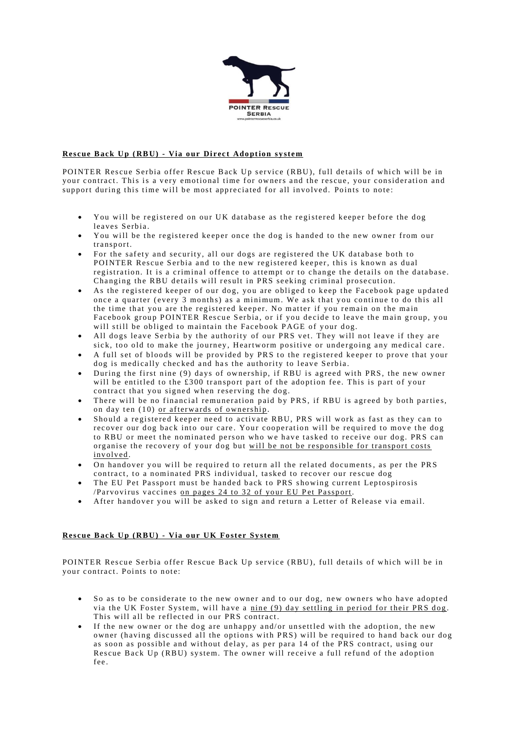

## **Rescue Back Up (RBU) - Via our Direct Adoption system**

POINTER Rescue Serbia offer Rescue Back Up service (RBU), full details of which will be in your contract. This is a very emotional time for owners and the rescue, your consideration and support during this time will be most appreciated for all involved. Points to note:

- You will be registered on our UK database as the registered keeper before the dog leaves Serbia.
- You will be the registered keeper once the dog is handed to the new owner from our transport.
- For the safety and security, all our dogs are registered the UK database both to POINTER Rescue Serbia and to the new registered keeper, this is known as dual registration. It is a criminal offence to attempt or to change the details on the database. Changing the RBU details will result in PRS seeking criminal prosecution.
- As the registered keeper of our dog, you are obliged to keep the Facebook page updated once a quarter (every 3 months) as a minimum. We ask that you continue to do this all the time that you are the registered keeper. No matter if you remain on the main Facebook group POINTER Rescue Serbia, or if you decide to leave the main group, you will still be obliged to maintain the Facebook PAGE of your dog.
- All dogs leave Serbia by the authority of our PRS vet. They will not leave if they are sick, too old to make the journey, Heartworm positive or undergoing any medical care.
- A full set of bloods will be provided by PRS to the registered keeper to prove that your dog is medically checked and has the authority to leave Serbia.
- During the first nine (9) days of ownership, if RBU is agreed with PRS, the new owner will be entitled to the  $\pounds 300$  transport part of the adoption fee. This is part of your contract that you signed when reserving the dog.
- There will be no financial remuneration paid by PRS, if RBU is agreed by both parties, on day ten  $(10)$  or afterwards of ownership.
- Should a registered keeper need to activate RBU, PRS will work as fast as they can to recover our dog back into our care. Your cooperation will be required to move the dog to RBU or meet the nominated person who we have tasked to receive our dog. PRS can organise the recovery of your dog but will be not be responsible for transport costs inv olv ed .
- On handover you will be required to return all the related documents, as per the PRS contract, to a nominated PRS individual, tasked to recover our rescue dog
- The EU Pet Passport must be handed back to PRS showing current Leptospirosis /Parvovirus vaccines on pages 24 to 32 of your EU Pet Passport.
- After handover you will be asked to sign and return a Letter of Release via email.

## **Rescue Back Up (RBU) - Via our UK Foster System**

POINTER Rescue Serbia offer Rescue Back Up service (RBU), full details of which will be in your contract. Points to note:

- So as to be considerate to the new owner and to our dog, new owners who have adopted via the UK Foster System, will have a nine (9) day settling in period for their PRS dog. This will all be reflected in our PRS contract.
- If the new owner or the dog are unhappy and/or unsettled with the adoption, the new owner (having discussed all the options with PRS) will be required to hand back our dog as soon as possible and without delay, as per para 14 of the PRS contract, using our Rescue Back Up (RBU) system. The owner will receive a full refund of the adoption fee .